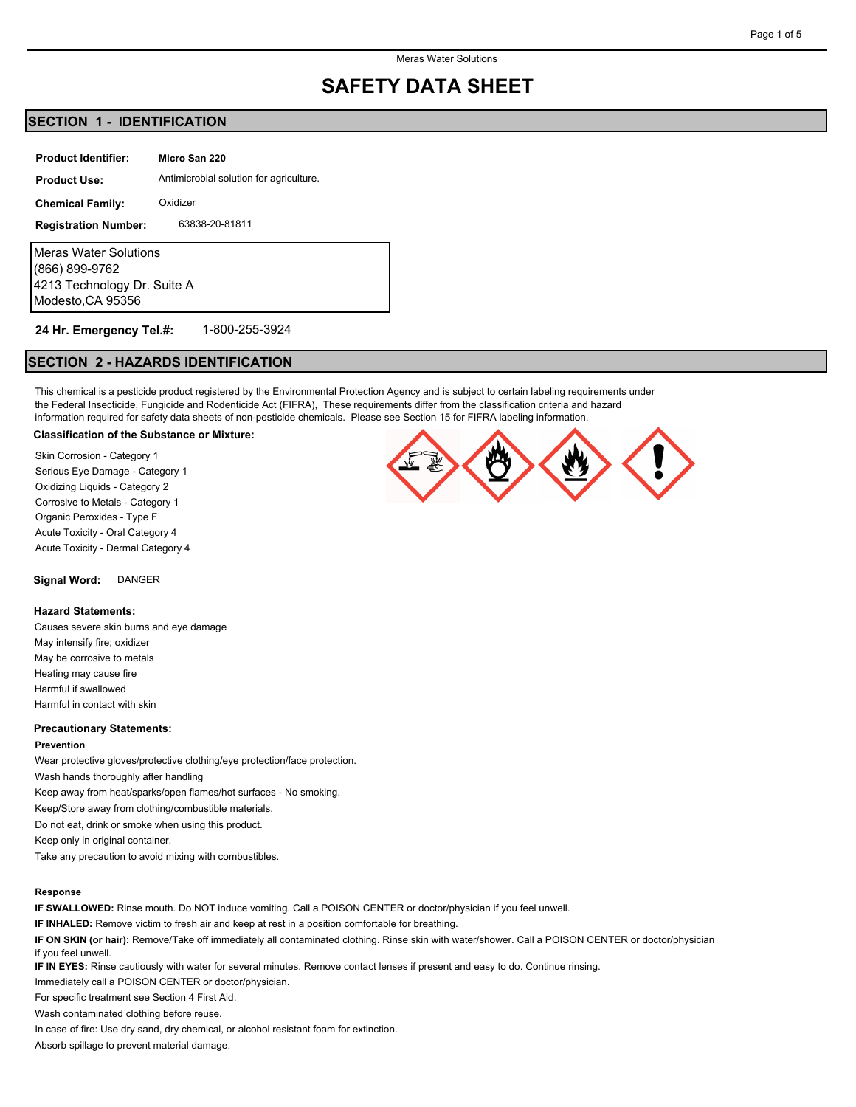## **SECTION 1 - IDENTIFICATION**

**Product Identifier: Micro San 220**

**Product Use:** Antimicrobial solution for agriculture.

**Chemical Family:** Oxidizer

**Registration Number:** 63838-20-81811

Meras Water Solutions (866) 899-9762 4213 Technology Dr. Suite A Modesto,CA 95356

1-800-255-3924 **24 Hr. Emergency Tel.#:**

## **SECTION 2 - HAZARDS IDENTIFICATION**

This chemical is a pesticide product registered by the Environmental Protection Agency and is subject to certain labeling requirements under the Federal Insecticide, Fungicide and Rodenticide Act (FIFRA), These requirements differ from the classification criteria and hazard information required for safety data sheets of non-pesticide chemicals. Please see Section 15 for FIFRA labeling information.

## **Classification of the Substance or Mixture:**

Skin Corrosion - Category 1 Serious Eye Damage - Category 1 Oxidizing Liquids - Category 2 Corrosive to Metals - Category 1 Organic Peroxides - Type F Acute Toxicity - Oral Category 4 Acute Toxicity - Dermal Category 4

**Signal Word:** DANGER

### **Hazard Statements:**

Causes severe skin burns and eye damage May intensify fire; oxidizer May be corrosive to metals Heating may cause fire Harmful if swallowed Harmful in contact with skin

### **Precautionary Statements:**

#### **Prevention**

Wear protective gloves/protective clothing/eye protection/face protection.

Wash hands thoroughly after handling

Keep away from heat/sparks/open flames/hot surfaces - No smoking.

Keep/Store away from clothing/combustible materials.

Do not eat, drink or smoke when using this product.

Keep only in original container.

Take any precaution to avoid mixing with combustibles.

### **Response**

**IF SWALLOWED:** Rinse mouth. Do NOT induce vomiting. Call a POISON CENTER or doctor/physician if you feel unwell.

**IF INHALED:** Remove victim to fresh air and keep at rest in a position comfortable for breathing.

**IF ON SKIN (or hair):** Remove/Take off immediately all contaminated clothing. Rinse skin with water/shower. Call a POISON CENTER or doctor/physician if you feel unwell.

**IF IN EYES:** Rinse cautiously with water for several minutes. Remove contact lenses if present and easy to do. Continue rinsing.

Immediately call a POISON CENTER or doctor/physician.

For specific treatment see Section 4 First Aid.

Wash contaminated clothing before reuse.

In case of fire: Use dry sand, dry chemical, or alcohol resistant foam for extinction.

Absorb spillage to prevent material damage.

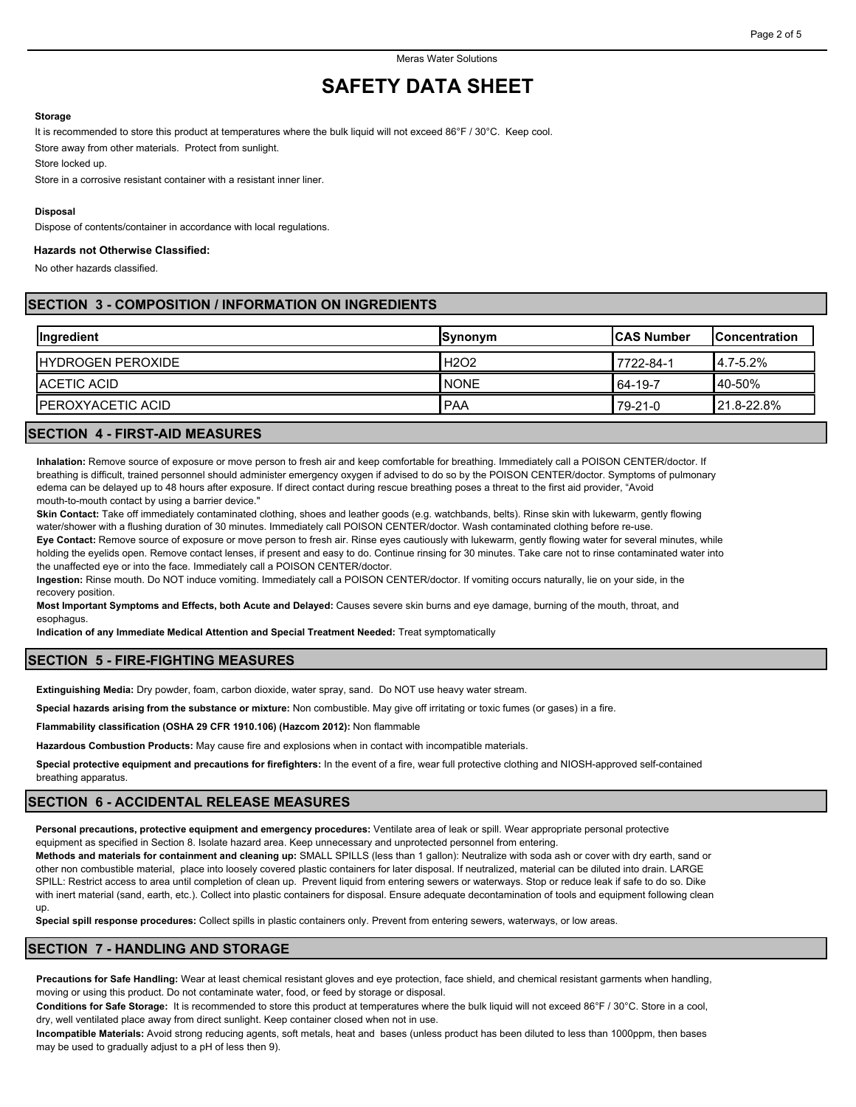#### **Storage**

It is recommended to store this product at temperatures where the bulk liquid will not exceed 86°F / 30°C. Keep cool.

Store away from other materials. Protect from sunlight.

Store locked up.

Store in a corrosive resistant container with a resistant inner liner.

### **Disposal**

Dispose of contents/container in accordance with local regulations.

### **Hazards not Otherwise Classified:**

No other hazards classified.

## **SECTION 3 - COMPOSITION / INFORMATION ON INGREDIENTS**

| <b>Ingredient</b>         | Synonym      | <b>ICAS Number</b> | <b>IConcentration</b> |
|---------------------------|--------------|--------------------|-----------------------|
| <b>IHYDROGEN PEROXIDE</b> | H2O2         | 7722-84-1          | 4.7-5.2%              |
| <b>IACETIC ACID</b>       | <b>INONE</b> | 64-19-7            | 40-50%                |
| <b>IPEROXYACETIC ACID</b> | l PAA        | 79-21-0            | <b>21.8-22.8%</b>     |

## **SECTION 4 - FIRST-AID MEASURES**

**Inhalation:** Remove source of exposure or move person to fresh air and keep comfortable for breathing. Immediately call a POISON CENTER/doctor. If breathing is difficult, trained personnel should administer emergency oxygen if advised to do so by the POISON CENTER/doctor. Symptoms of pulmonary edema can be delayed up to 48 hours after exposure. If direct contact during rescue breathing poses a threat to the first aid provider, "Avoid mouth-to-mouth contact by using a barrier device."

**Skin Contact:** Take off immediately contaminated clothing, shoes and leather goods (e.g. watchbands, belts). Rinse skin with lukewarm, gently flowing water/shower with a flushing duration of 30 minutes. Immediately call POISON CENTER/doctor. Wash contaminated clothing before re-use.

**Eye Contact:** Remove source of exposure or move person to fresh air. Rinse eyes cautiously with lukewarm, gently flowing water for several minutes, while holding the eyelids open. Remove contact lenses, if present and easy to do. Continue rinsing for 30 minutes. Take care not to rinse contaminated water into the unaffected eye or into the face. Immediately call a POISON CENTER/doctor.

**Ingestion:** Rinse mouth. Do NOT induce vomiting. Immediately call a POISON CENTER/doctor. If vomiting occurs naturally, lie on your side, in the recovery position.

**Most Important Symptoms and Effects, both Acute and Delayed:** Causes severe skin burns and eye damage, burning of the mouth, throat, and esophagus.

**Indication of any Immediate Medical Attention and Special Treatment Needed:** Treat symptomatically

## **SECTION 5 - FIRE-FIGHTING MEASURES**

**Extinguishing Media:** Dry powder, foam, carbon dioxide, water spray, sand. Do NOT use heavy water stream.

**Special hazards arising from the substance or mixture:** Non combustible. May give off irritating or toxic fumes (or gases) in a fire.

**Flammability classification (OSHA 29 CFR 1910.106) (Hazcom 2012):** Non flammable

**Hazardous Combustion Products:** May cause fire and explosions when in contact with incompatible materials.

**Special protective equipment and precautions for firefighters:** In the event of a fire, wear full protective clothing and NIOSH-approved self-contained breathing apparatus.

## **SECTION 6 - ACCIDENTAL RELEASE MEASURES**

**Personal precautions, protective equipment and emergency procedures:** Ventilate area of leak or spill. Wear appropriate personal protective equipment as specified in Section 8. Isolate hazard area. Keep unnecessary and unprotected personnel from entering.

**Methods and materials for containment and cleaning up:** SMALL SPILLS (less than 1 gallon): Neutralize with soda ash or cover with dry earth, sand or other non combustible material, place into loosely covered plastic containers for later disposal. If neutralized, material can be diluted into drain. LARGE SPILL: Restrict access to area until completion of clean up. Prevent liquid from entering sewers or waterways. Stop or reduce leak if safe to do so. Dike with inert material (sand, earth, etc.). Collect into plastic containers for disposal. Ensure adequate decontamination of tools and equipment following clean up.

**Special spill response procedures:** Collect spills in plastic containers only. Prevent from entering sewers, waterways, or low areas.

## **SECTION 7 - HANDLING AND STORAGE**

**Precautions for Safe Handling:** Wear at least chemical resistant gloves and eye protection, face shield, and chemical resistant garments when handling, moving or using this product. Do not contaminate water, food, or feed by storage or disposal.

**Conditions for Safe Storage:** It is recommended to store this product at temperatures where the bulk liquid will not exceed 86°F / 30°C. Store in a cool, dry, well ventilated place away from direct sunlight. Keep container closed when not in use.

**Incompatible Materials:** Avoid strong reducing agents, soft metals, heat and bases (unless product has been diluted to less than 1000ppm, then bases may be used to gradually adjust to a pH of less then 9).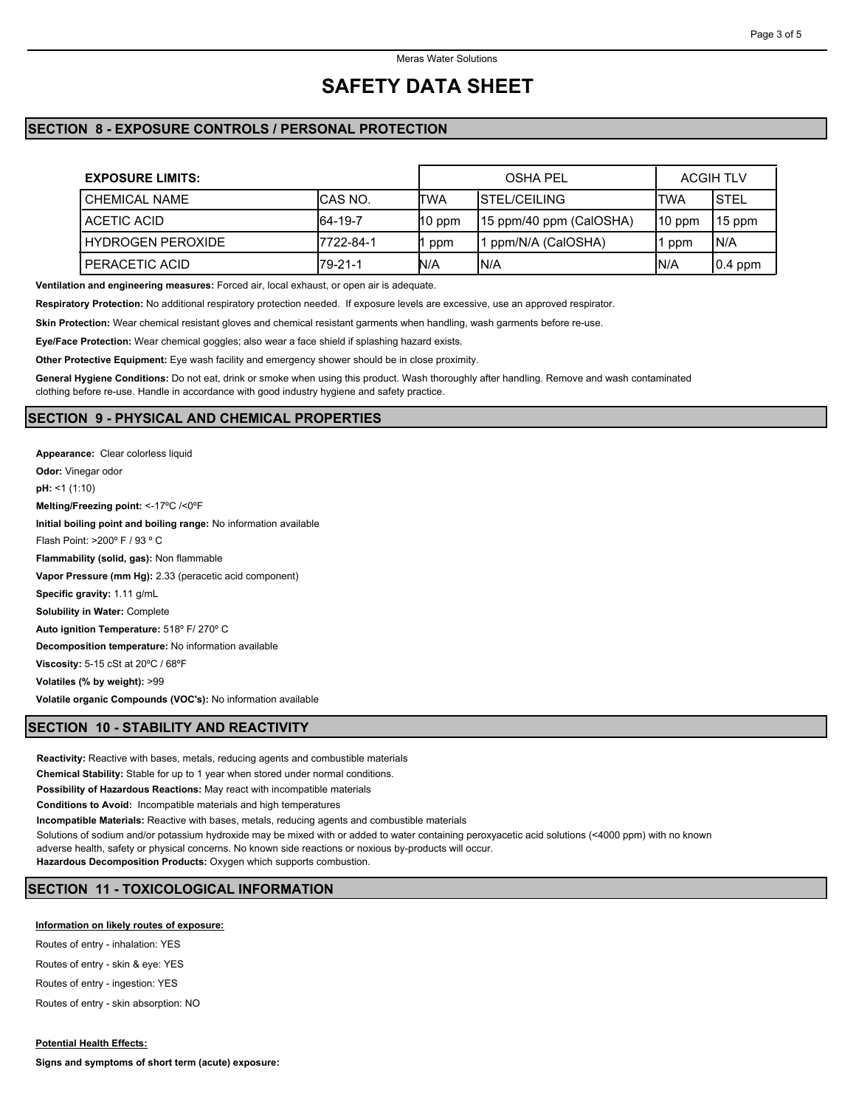## **SECTION 8 - EXPOSURE CONTROLS / PERSONAL PROTECTION**

| <b>EXPOSURE LIMITS:</b> | OSHA PEL<br><b>ACGIH TLV</b> |          |                         |        |            |
|-------------------------|------------------------------|----------|-------------------------|--------|------------|
| I CHEMICAL NAME         | ICAS NO.                     | ITWA     | <b>ISTEL/CEILING</b>    | TWA    | ISTEL      |
| ACETIC ACID             | 64-19-7                      | $10$ ppm | 15 ppm/40 ppm (CalOSHA) | 10 ppm | $15$ ppm   |
| HYDROGEN PEROXIDE       | 7722-84-1                    | l ppm    | ppm/N/A (CalOSHA)       | ppm    | N/A        |
| PERACETIC ACID          | 79-21-1                      | N/A      | IN/A                    | IN/A   | $ 0.4$ ppm |

**Ventilation and engineering measures:** Forced air, local exhaust, or open air is adequate.

**Respiratory Protection:** No additional respiratory protection needed. If exposure levels are excessive, use an approved respirator.

**Skin Protection:** Wear chemical resistant gloves and chemical resistant garments when handling, wash garments before re-use.

**Eye/Face Protection:** Wear chemical goggles; also wear a face shield if splashing hazard exists.

**Other Protective Equipment:** Eye wash facility and emergency shower should be in close proximity.

**General Hygiene Conditions:** Do not eat, drink or smoke when using this product. Wash thoroughly after handling. Remove and wash contaminated clothing before re-use. Handle in accordance with good industry hygiene and safety practice.

### **SECTION 9 - PHYSICAL AND CHEMICAL PROPERTIES**

**Appearance:** Clear colorless liquid **Odor:** Vinegar odor **pH:** <1 (1:10) **Melting/Freezing point:** <-17ºC /<0ºF **Initial boiling point and boiling range:** No information available Flash Point: >200º F / 93 º C **Flammability (solid, gas):** Non flammable **Vapor Pressure (mm Hg):** 2.33 (peracetic acid component) **Specific gravity:** 1.11 g/mL **Solubility in Water:** Complete **Auto ignition Temperature:** 518º F/ 270º C **Decomposition temperature:** No information available **Viscosity:** 5-15 cSt at 20ºC / 68ºF **Volatiles (% by weight):** >99 **Volatile organic Compounds (VOC's):** No information available

### **SECTION 10 - STABILITY AND REACTIVITY**

**Reactivity:** Reactive with bases, metals, reducing agents and combustible materials **Chemical Stability:** Stable for up to 1 year when stored under normal conditions. **Possibility of Hazardous Reactions:** May react with incompatible materials **Conditions to Avoid:** Incompatible materials and high temperatures **Incompatible Materials:** Reactive with bases, metals, reducing agents and combustible materials Solutions of sodium and/or potassium hydroxide may be mixed with or added to water containing peroxyacetic acid solutions (<4000 ppm) with no known adverse health, safety or physical concerns. No known side reactions or noxious by-products will occur. **Hazardous Decomposition Products:** Oxygen which supports combustion.

### **SECTION 11 - TOXICOLOGICAL INFORMATION**

### **Information on likely routes of exposure:**

Routes of entry - inhalation: YES

Routes of entry - skin & eye: YES

Routes of entry - ingestion: YES

Routes of entry - skin absorption: NO

## **Potential Health Effects:**

**Signs and symptoms of short term (acute) exposure:**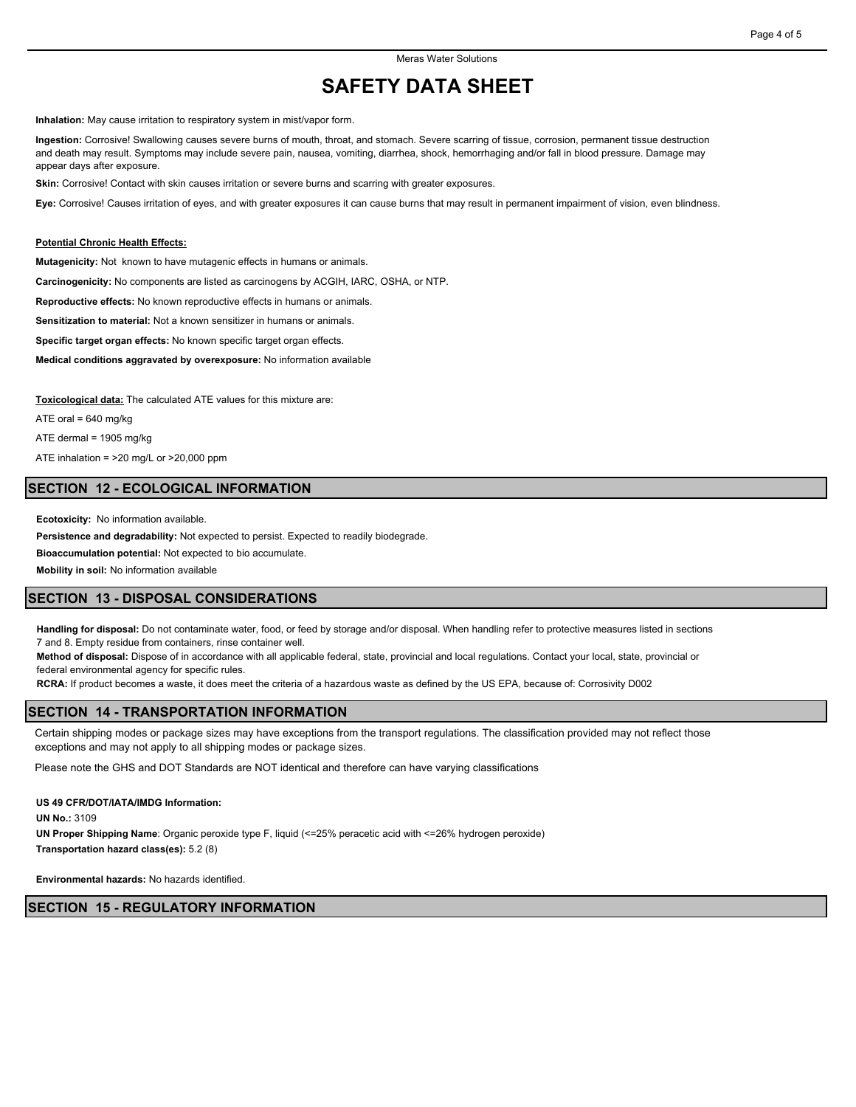**Inhalation:** May cause irritation to respiratory system in mist/vapor form.

**Ingestion:** Corrosive! Swallowing causes severe burns of mouth, throat, and stomach. Severe scarring of tissue, corrosion, permanent tissue destruction and death may result. Symptoms may include severe pain, nausea, vomiting, diarrhea, shock, hemorrhaging and/or fall in blood pressure. Damage may appear days after exposure.

**Skin:** Corrosive! Contact with skin causes irritation or severe burns and scarring with greater exposures.

**Eye:** Corrosive! Causes irritation of eyes, and with greater exposures it can cause burns that may result in permanent impairment of vision, even blindness.

### **Potential Chronic Health Effects:**

**Mutagenicity:** Not known to have mutagenic effects in humans or animals.

**Carcinogenicity:** No components are listed as carcinogens by ACGIH, IARC, OSHA, or NTP.

**Reproductive effects:** No known reproductive effects in humans or animals.

**Sensitization to material:** Not a known sensitizer in humans or animals.

**Specific target organ effects:** No known specific target organ effects.

**Medical conditions aggravated by overexposure:** No information available

**Toxicological data:** The calculated ATE values for this mixture are:

ATE oral =  $640$  mg/kg

ATE dermal = 1905 mg/kg

ATE inhalation = >20 mg/L or >20,000 ppm

## **SECTION 12 - ECOLOGICAL INFORMATION**

**Ecotoxicity:** No information available.

**Persistence and degradability:** Not expected to persist. Expected to readily biodegrade.

**Bioaccumulation potential:** Not expected to bio accumulate.

**Mobility in soil:** No information available

## **SECTION 13 - DISPOSAL CONSIDERATIONS**

**Handling for disposal:** Do not contaminate water, food, or feed by storage and/or disposal. When handling refer to protective measures listed in sections 7 and 8. Empty residue from containers, rinse container well.

**Method of disposal:** Dispose of in accordance with all applicable federal, state, provincial and local regulations. Contact your local, state, provincial or federal environmental agency for specific rules.

**RCRA:** If product becomes a waste, it does meet the criteria of a hazardous waste as defined by the US EPA, because of: Corrosivity D002

## **SECTION 14 - TRANSPORTATION INFORMATION**

Certain shipping modes or package sizes may have exceptions from the transport regulations. The classification provided may not reflect those exceptions and may not apply to all shipping modes or package sizes.

Please note the GHS and DOT Standards are NOT identical and therefore can have varying classifications

**US 49 CFR/DOT/IATA/IMDG Information:**

**UN No.:** 3109

**UN Proper Shipping Name**: Organic peroxide type F, liquid (<=25% peracetic acid with <=26% hydrogen peroxide) **Transportation hazard class(es):** 5.2 (8)

**Environmental hazards:** No hazards identified.

### **SECTION 15 - REGULATORY INFORMATION**